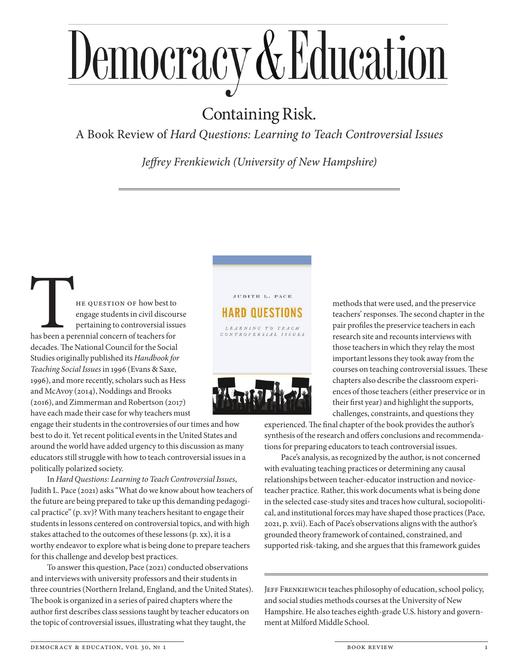## Democracy & Education

## Containing Risk.

A Book Review of *Hard Questions: Learning to Teach Controversial Issues*

*Jeffrey Frenkiewich (University of New Hampshire)*

The QUESTION OF how best to<br>engage students in civil discour<br>pertaining to controversial issue<br>has been a perennial concern of teachers for<br>decades. The National Council for the Social engage students in civil discourse pertaining to controversial issues has been a perennial concern of teachers for decades. The National Council for the Social Studies originally published its *Handbook for Teaching Social Issues* in 1996 (Evans & Saxe, 1996), and more recently, scholars such as Hess and McAvoy (2014), Noddings and Brooks (2016), and Zimmerman and Robertson (2017) have each made their case for why teachers must

engage their students in the controversies of our times and how best to do it. Yet recent political events in the United States and around the world have added urgency to this discussion as many educators still struggle with how to teach controversial issues in a politically polarized society.

In *Hard Questions: Learning to Teach Controversial Issues*, Judith L. Pace (2021) asks "What do we know about how teachers of the future are being prepared to take up this demanding pedagogical practice" (p. xv)? With many teachers hesitant to engage their students in lessons centered on controversial topics, and with high stakes attached to the outcomes of these lessons (p. xx), it is a worthy endeavor to explore what is being done to prepare teachers for this challenge and develop best practices.

To answer this question, Pace (2021) conducted observations and interviews with university professors and their students in three countries (Northern Ireland, England, and the United States). The book is organized in a series of paired chapters where the author first describes class sessions taught by teacher educators on the topic of controversial issues, illustrating what they taught, the



LEARNING TO TEACH<br>CONTROVERSIAL ISSUES



methods that were used, and the preservice teachers' responses. The second chapter in the pair profiles the preservice teachers in each research site and recounts interviews with those teachers in which they relay the most important lessons they took away from the courses on teaching controversial issues. These chapters also describe the classroom experiences of those teachers (either preservice or in their first year) and highlight the supports, challenges, constraints, and questions they

experienced. The final chapter of the book provides the author's synthesis of the research and offers conclusions and recommendations for preparing educators to teach controversial issues.

Pace's analysis, as recognized by the author, is not concerned with evaluating teaching practices or determining any causal relationships between teacher-educator instruction and noviceteacher practice. Rather, this work documents what is being done in the selected case-study sites and traces how cultural, sociopolitical, and institutional forces may have shaped those practices (Pace, 2021, p. xvii). Each of Pace's observations aligns with the author's grounded theory framework of contained, constrained, and supported risk-taking, and she argues that this framework guides

JEFF FRENKIEWICH teaches philosophy of education, school policy, and social studies methods courses at the University of New Hampshire. He also teaches eighth-grade U.S. history and government at Milford Middle School.